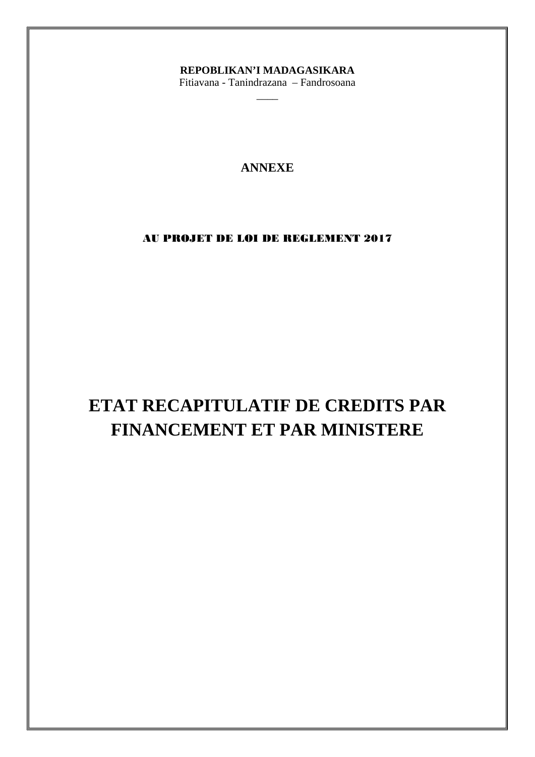## REPOBLIKAN'I MADAGASIKARA

Fitiavana - Tanindrazana - Fandrosoana

## **ANNEXE**

## AU PROJET DE LOI DE REGLEMENT 2017

# ETAT RECAPITULATIF DE CREDITS PAR FINANCEMENT ET PAR MINISTERE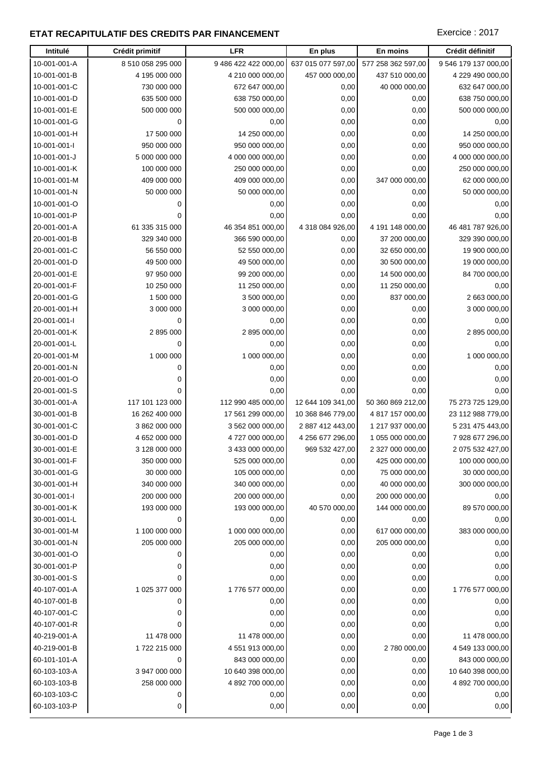## **ETAT RECAPITULATIF DES CREDITS PAR FINANCEMENT EXECUTES EXECTED EXERCICE : 2017**

| Intitulé                     | Crédit primitif                 | <b>LFR</b>                            | En plus                                | En moins                             | Crédit définitif                       |
|------------------------------|---------------------------------|---------------------------------------|----------------------------------------|--------------------------------------|----------------------------------------|
| 10-001-001-A                 | 8 510 058 295 000               | 9 486 422 422 000,00                  | 637 015 077 597,00                     | 577 258 362 597,00                   | 9 546 179 137 000,00                   |
| 10-001-001-B                 | 4 195 000 000                   | 4 210 000 000,00                      | 457 000 000,00                         | 437 510 000,00                       | 4 229 490 000,00                       |
| 10-001-001-C                 | 730 000 000                     | 672 647 000,00                        | 0,00                                   | 40 000 000,00                        | 632 647 000,00                         |
| 10-001-001-D                 | 635 500 000                     | 638 750 000,00                        | 0,00                                   | 0,00                                 | 638 750 000,00                         |
| 10-001-001-E                 | 500 000 000                     | 500 000 000,00                        | 0,00                                   | 0,00                                 | 500 000 000,00                         |
| 10-001-001-G                 | $\mathbf 0$                     | 0,00                                  | 0,00                                   | 0,00                                 | 0,00                                   |
| 10-001-001-H                 | 17 500 000                      | 14 250 000,00                         | 0,00                                   | 0,00                                 | 14 250 000,00                          |
| 10-001-001-l                 | 950 000 000                     | 950 000 000,00                        | 0,00                                   | 0,00                                 | 950 000 000,00                         |
| 10-001-001-J                 | 5 000 000 000                   | 4 000 000 000,00                      | 0,00                                   | 0,00                                 | 4 000 000 000,00                       |
| 10-001-001-K                 | 100 000 000                     | 250 000 000,00                        | 0,00                                   | 0,00                                 | 250 000 000,00                         |
| 10-001-001-M                 | 409 000 000                     | 409 000 000,00                        | 0,00                                   | 347 000 000,00                       | 62 000 000,00                          |
| 10-001-001-N                 | 50 000 000                      | 50 000 000,00                         | 0,00                                   | 0,00                                 | 50 000 000,00                          |
| 10-001-001-O                 | $\mathbf 0$                     | 0,00                                  | 0,00                                   | 0,00                                 | 0,00                                   |
| 10-001-001-P                 | 0                               | 0,00                                  | 0,00                                   | 0,00                                 | 0,00                                   |
| 20-001-001-A                 | 61 335 315 000                  | 46 354 851 000,00                     | 4 318 084 926,00                       | 4 191 148 000,00                     | 46 481 787 926,00                      |
| 20-001-001-B                 | 329 340 000                     | 366 590 000,00                        | 0,00                                   | 37 200 000,00                        | 329 390 000,00                         |
| 20-001-001-C                 | 56 550 000                      | 52 550 000,00                         | 0,00                                   | 32 650 000,00                        | 19 900 000,00                          |
| 20-001-001-D                 | 49 500 000                      | 49 500 000,00                         | 0,00                                   | 30 500 000,00                        | 19 000 000,00                          |
| 20-001-001-E                 | 97 950 000                      | 99 200 000,00                         | 0,00                                   | 14 500 000,00                        | 84 700 000,00                          |
| 20-001-001-F                 | 10 250 000                      | 11 250 000,00                         | 0,00                                   | 11 250 000,00                        | 0,00                                   |
| 20-001-001-G                 | 1 500 000                       | 3 500 000,00                          | 0,00                                   | 837 000,00                           | 2 663 000,00                           |
| 20-001-001-H                 | 3 000 000                       | 3 000 000,00                          | 0,00                                   | 0,00                                 | 3 000 000,00                           |
| 20-001-001-l                 | $\mathbf 0$                     | 0,00                                  | 0,00                                   | 0,00                                 | 0,00                                   |
| 20-001-001-K                 | 2 895 000                       | 2 895 000,00                          | 0,00                                   | 0,00                                 | 2 895 000,00                           |
| 20-001-001-L                 | 0                               | 0,00                                  | 0,00                                   | 0,00                                 | 0,00                                   |
| 20-001-001-M                 | 1 000 000                       | 1 000 000,00                          | 0,00                                   | 0,00                                 | 1 000 000,00                           |
| 20-001-001-N                 | 0                               | 0,00                                  | 0,00                                   | 0,00                                 | 0,00                                   |
| 20-001-001-O                 | 0                               | 0,00                                  | 0,00                                   | 0,00                                 | 0,00                                   |
| 20-001-001-S                 | $\mathbf 0$                     | 0,00                                  | 0,00                                   | 0,00                                 | 0,00                                   |
| 30-001-001-A                 | 117 101 123 000                 | 112 990 485 000,00                    | 12 644 109 341,00<br>10 368 846 779,00 | 50 360 869 212,00                    | 75 273 725 129,00<br>23 112 988 779,00 |
| 30-001-001-B<br>30-001-001-C | 16 262 400 000<br>3 862 000 000 | 17 561 299 000,00<br>3 562 000 000,00 | 2 887 412 443,00                       | 4 817 157 000,00<br>1 217 937 000,00 | 5 231 475 443,00                       |
| 30-001-001-D                 | 4 652 000 000                   | 4 727 000 000,00                      | 4 256 677 296,00                       | 1 055 000 000,00                     | 7 928 677 296,00                       |
| 30-001-001-E                 | 3 128 000 000                   | 3 433 000 000,00                      | 969 532 427,00                         | 2 327 000 000,00                     | 2 075 532 427,00                       |
| 30-001-001-F                 | 350 000 000                     | 525 000 000,00                        | 0,00                                   | 425 000 000,00                       | 100 000 000,00                         |
| 30-001-001-G                 | 30 000 000                      | 105 000 000,00                        | 0,00                                   | 75 000 000,00                        | 30 000 000,00                          |
| 30-001-001-H                 | 340 000 000                     | 340 000 000,00                        | 0,00                                   | 40 000 000,00                        | 300 000 000,00                         |
| 30-001-001-l                 | 200 000 000                     | 200 000 000,00                        | 0,00                                   | 200 000 000,00                       | 0,00                                   |
| 30-001-001-K                 | 193 000 000                     | 193 000 000,00                        | 40 570 000,00                          | 144 000 000,00                       | 89 570 000,00                          |
| 30-001-001-L                 | $\mathbf 0$                     | 0,00                                  | 0,00                                   | 0,00                                 | 0,00                                   |
| 30-001-001-M                 | 1 100 000 000                   | 1 000 000 000,00                      | 0,00                                   | 617 000 000,00                       | 383 000 000,00                         |
| 30-001-001-N                 | 205 000 000                     | 205 000 000,00                        | 0,00                                   | 205 000 000,00                       | 0,00                                   |
| 30-001-001-O                 | 0                               | 0,00                                  | 0,00                                   | 0,00                                 | 0,00                                   |
| 30-001-001-P                 | 0                               | 0,00                                  | 0,00                                   | 0,00                                 | 0,00                                   |
| 30-001-001-S                 | 0                               | 0,00                                  | 0,00                                   | 0,00                                 | 0,00                                   |
| 40-107-001-A                 | 1 025 377 000                   | 1776 577 000,00                       | 0,00                                   | 0,00                                 | 1 776 577 000,00                       |
| 40-107-001-B                 | 0                               | 0,00                                  | 0,00                                   | 0,00                                 | 0,00                                   |
| 40-107-001-C                 | 0                               | 0,00                                  | 0,00                                   | 0,00                                 | 0,00                                   |
| 40-107-001-R                 | 0                               | 0,00                                  | 0,00                                   | 0,00                                 | 0,00                                   |
| 40-219-001-A                 | 11 478 000                      | 11 478 000,00                         | 0,00                                   | 0,00                                 | 11 478 000,00                          |
| 40-219-001-B                 | 1722 215 000                    | 4 551 913 000,00                      | 0,00                                   | 2 780 000,00                         | 4 549 133 000,00                       |
| 60-101-101-A                 | $\mathbf 0$                     | 843 000 000,00                        | 0,00                                   | 0,00                                 | 843 000 000,00                         |
| 60-103-103-A                 | 3 947 000 000                   | 10 640 398 000,00                     | 0,00                                   | 0,00                                 | 10 640 398 000,00                      |
| 60-103-103-B                 | 258 000 000                     | 4 892 700 000,00                      | 0,00                                   | 0,00                                 | 4 892 700 000,00                       |
| 60-103-103-C                 | 0                               | 0,00                                  | 0,00                                   | 0,00                                 | 0,00                                   |
| 60-103-103-P                 | 0                               | 0,00                                  | 0,00                                   | 0,00                                 | 0,00                                   |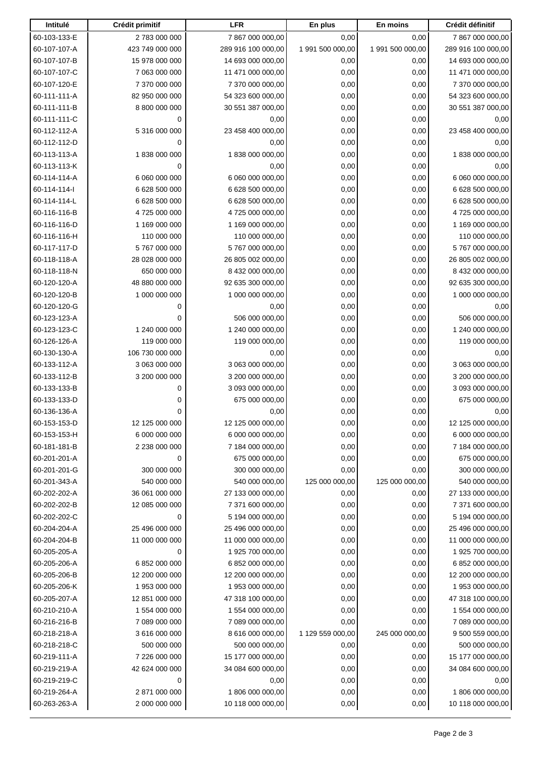| Intitulé     | Crédit primitif | <b>LFR</b>         | En plus          | En moins         | Crédit définitif   |
|--------------|-----------------|--------------------|------------------|------------------|--------------------|
| 60-103-133-E | 2 783 000 000   | 7 867 000 000,00   | 0,00             | 0,00             | 7 867 000 000,00   |
| 60-107-107-A | 423 749 000 000 | 289 916 100 000,00 | 1 991 500 000,00 | 1 991 500 000,00 | 289 916 100 000,00 |
| 60-107-107-B | 15 978 000 000  | 14 693 000 000,00  | 0,00             | 0,00             | 14 693 000 000,00  |
| 60-107-107-C | 7 063 000 000   | 11 471 000 000,00  | 0,00             | 0,00             | 11 471 000 000,00  |
| 60-107-120-E | 7 370 000 000   | 7 370 000 000,00   | 0,00             | 0,00             | 7 370 000 000,00   |
| 60-111-111-A | 82 950 000 000  | 54 323 600 000,00  | 0,00             | 0,00             | 54 323 600 000,00  |
| 60-111-111-B | 8 800 000 000   | 30 551 387 000,00  | 0,00             | 0,00             | 30 551 387 000,00  |
| 60-111-111-C | 0               | 0,00               | 0,00             | 0,00             | 0,00               |
| 60-112-112-A | 5 316 000 000   | 23 458 400 000,00  | 0,00             | 0,00             | 23 458 400 000,00  |
| 60-112-112-D | 0               | 0,00               | 0,00             | 0,00             | 0,00               |
| 60-113-113-A | 1838000000      | 1838000000,00      | 0,00             | 0,00             | 1838000000,00      |
| 60-113-113-K | 0               | 0,00               | 0,00             | 0,00             | 0,00               |
| 60-114-114-A | 6 060 000 000   | 6 060 000 000,00   | 0,00             | 0,00             | 6 060 000 000,00   |
| 60-114-114-l | 6 628 500 000   | 6 628 500 000,00   | 0,00             | 0,00             | 6 628 500 000,00   |
| 60-114-114-L | 6 628 500 000   | 6 628 500 000,00   | 0,00             | 0,00             | 6 628 500 000,00   |
| 60-116-116-B | 4 725 000 000   | 4 725 000 000,00   | 0,00             | 0,00             | 4 725 000 000,00   |
| 60-116-116-D | 1 169 000 000   | 1 169 000 000,00   | 0,00             | 0,00             | 1 169 000 000,00   |
| 60-116-116-H | 110 000 000     | 110 000 000,00     | 0,00             | 0,00             | 110 000 000,00     |
| 60-117-117-D | 5767000000      | 5 767 000 000,00   | 0,00             | 0,00             | 5 767 000 000,00   |
| 60-118-118-A | 28 028 000 000  | 26 805 002 000,00  | 0,00             | 0,00             | 26 805 002 000,00  |
| 60-118-118-N | 650 000 000     | 8 432 000 000,00   | 0,00             | 0,00             | 8 432 000 000,00   |
| 60-120-120-A | 48 880 000 000  | 92 635 300 000,00  | 0,00             | 0,00             | 92 635 300 000,00  |
| 60-120-120-B | 1 000 000 000   | 1 000 000 000,00   | 0,00             | 0,00             | 1 000 000 000,00   |
| 60-120-120-G | 0               | 0,00               | 0,00             | 0,00             | 0,00               |
| 60-123-123-A | 0               | 506 000 000,00     | 0,00             | 0,00             | 506 000 000,00     |
| 60-123-123-C | 1 240 000 000   | 1 240 000 000,00   | 0,00             | 0,00             | 1 240 000 000,00   |
| 60-126-126-A | 119 000 000     | 119 000 000,00     | 0,00             | 0,00             | 119 000 000,00     |
| 60-130-130-A | 106 730 000 000 | 0,00               | 0,00             | 0,00             | 0,00               |
| 60-133-112-A | 3 063 000 000   | 3 063 000 000,00   | 0,00             | 0,00             | 3 063 000 000,00   |
| 60-133-112-B | 3 200 000 000   | 3 200 000 000,00   | 0,00             | 0,00             | 3 200 000 000,00   |
| 60-133-133-B | 0               | 3 093 000 000,00   | 0,00             | 0,00             | 3 093 000 000,00   |
| 60-133-133-D | 0               | 675 000 000,00     | 0,00             | 0,00             | 675 000 000,00     |
| 60-136-136-A | 0               | 0,00               | 0,00             | 0,00             | 0,00               |
| 60-153-153-D | 12 125 000 000  | 12 125 000 000,00  | 0,00             | 0,00             | 12 125 000 000,00  |
| 60-153-153-H | 6 000 000 000   | 6 000 000 000,00   | 0,00             | 0,00             | 6 000 000 000,00   |
| 60-181-181-B | 2 238 000 000   | 7 184 000 000,00   | 0,00             | 0,00             | 7 184 000 000,00   |
| 60-201-201-A | 0               | 675 000 000,00     | 0,00             | 0,00             | 675 000 000,00     |
| 60-201-201-G | 300 000 000     | 300 000 000,00     | 0,00             | 0,00             | 300 000 000,00     |
| 60-201-343-A | 540 000 000     | 540 000 000,00     | 125 000 000,00   | 125 000 000,00   | 540 000 000,00     |
| 60-202-202-A | 36 061 000 000  | 27 133 000 000,00  | 0,00             | 0,00             | 27 133 000 000,00  |
| 60-202-202-B | 12 085 000 000  | 7 371 600 000,00   | 0,00             | 0,00             | 7 371 600 000,00   |
| 60-202-202-C | 0               | 5 194 000 000,00   | 0,00             | 0,00             | 5 194 000 000,00   |
| 60-204-204-A | 25 496 000 000  | 25 496 000 000,00  | 0,00             | 0,00             | 25 496 000 000,00  |
| 60-204-204-B | 11 000 000 000  | 11 000 000 000,00  | 0,00             |                  | 11 000 000 000,00  |
| 60-205-205-A |                 | 1 925 700 000,00   | 0,00             | 0,00             | 1 925 700 000,00   |
|              | 0               |                    |                  | 0,00             |                    |
| 60-205-206-A | 6 852 000 000   | 6 852 000 000,00   | 0,00             | 0,00             | 6 852 000 000,00   |
| 60-205-206-B | 12 200 000 000  | 12 200 000 000,00  | 0,00             | 0,00             | 12 200 000 000,00  |
| 60-205-206-K | 1 953 000 000   | 1 953 000 000,00   | 0,00             | 0,00             | 1 953 000 000,00   |
| 60-205-207-A | 12 851 000 000  | 47 318 100 000,00  | 0,00             | 0,00             | 47 318 100 000,00  |
| 60-210-210-A | 1 554 000 000   | 1 554 000 000,00   | 0,00             | 0,00             | 1 554 000 000,00   |
| 60-216-216-B | 7 089 000 000   | 7 089 000 000,00   | 0,00             | 0,00             | 7 089 000 000,00   |
| 60-218-218-A | 3 616 000 000   | 8 616 000 000,00   | 1 129 559 000,00 | 245 000 000,00   | 9 500 559 000,00   |
| 60-218-218-C | 500 000 000     | 500 000 000,00     | 0,00             | 0,00             | 500 000 000,00     |
| 60-219-111-A | 7 226 000 000   | 15 177 000 000,00  | 0,00             | 0,00             | 15 177 000 000,00  |
| 60-219-219-A | 42 624 000 000  | 34 084 600 000,00  | 0,00             | 0,00             | 34 084 600 000,00  |
| 60-219-219-C | $\mathbf 0$     | 0,00               | 0,00             | 0,00             | 0,00               |
| 60-219-264-A | 2 871 000 000   | 1806 000 000,00    | 0,00             | 0,00             | 1806 000 000,00    |
| 60-263-263-A | 2 000 000 000   | 10 118 000 000,00  | 0,00             | 0,00             | 10 118 000 000,00  |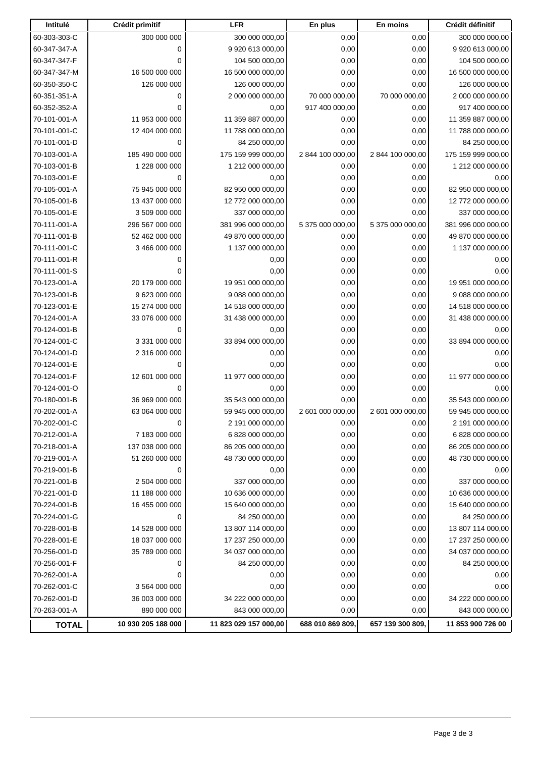| Intitulé     | Crédit primitif    | <b>LFR</b>            | En plus          | En moins         | Crédit définitif   |
|--------------|--------------------|-----------------------|------------------|------------------|--------------------|
| 60-303-303-C | 300 000 000        | 300 000 000,00        | 0,00             | 0,00             | 300 000 000,00     |
| 60-347-347-A | $\mathbf 0$        | 9 920 613 000,00      | 0,00             | 0,00             | 9 920 613 000,00   |
| 60-347-347-F | 0                  | 104 500 000,00        | 0,00             | 0,00             | 104 500 000,00     |
| 60-347-347-M | 16 500 000 000     | 16 500 000 000,00     | 0,00             | 0,00             | 16 500 000 000,00  |
| 60-350-350-C | 126 000 000        | 126 000 000,00        | 0,00             | 0,00             | 126 000 000,00     |
| 60-351-351-A | 0                  | 2 000 000 000,00      | 70 000 000,00    | 70 000 000,00    | 2 000 000 000,00   |
| 60-352-352-A | $\mathbf 0$        | 0,00                  | 917 400 000,00   | 0,00             | 917 400 000,00     |
| 70-101-001-A | 11 953 000 000     | 11 359 887 000,00     | 0,00             | 0,00             | 11 359 887 000,00  |
| 70-101-001-C | 12 404 000 000     | 11 788 000 000,00     | 0,00             | 0,00             | 11 788 000 000,00  |
| 70-101-001-D | $\mathbf 0$        | 84 250 000,00         | 0,00             | 0,00             | 84 250 000,00      |
| 70-103-001-A | 185 490 000 000    | 175 159 999 000,00    | 2 844 100 000,00 | 2 844 100 000,00 | 175 159 999 000,00 |
| 70-103-001-B | 1 228 000 000      | 1 212 000 000,00      | 0,00             | 0,00             | 1 212 000 000,00   |
| 70-103-001-E | $\mathbf 0$        | 0,00                  | 0,00             | 0,00             | 0,00               |
| 70-105-001-A | 75 945 000 000     | 82 950 000 000,00     | 0,00             | 0,00             | 82 950 000 000,00  |
| 70-105-001-B | 13 437 000 000     | 12 772 000 000,00     | 0,00             | 0,00             | 12 772 000 000,00  |
| 70-105-001-E | 3 509 000 000      | 337 000 000,00        | 0,00             | 0,00             | 337 000 000,00     |
| 70-111-001-A | 296 567 000 000    | 381 996 000 000,00    | 5 375 000 000,00 | 5 375 000 000,00 | 381 996 000 000,00 |
| 70-111-001-B | 52 462 000 000     | 49 870 000 000,00     | 0,00             | 0,00             | 49 870 000 000,00  |
| 70-111-001-C | 3 466 000 000      | 1 137 000 000,00      | 0,00             | 0,00             | 1 137 000 000,00   |
| 70-111-001-R | 0                  | 0,00                  | 0,00             | 0,00             | 0,00               |
| 70-111-001-S | 0                  | 0,00                  | 0,00             | 0,00             | 0,00               |
| 70-123-001-A | 20 179 000 000     | 19 951 000 000,00     | 0,00             | 0,00             | 19 951 000 000,00  |
| 70-123-001-B | 9 623 000 000      | 9 088 000 000,00      | 0,00             | 0,00             | 9 088 000 000,00   |
| 70-123-001-E | 15 274 000 000     | 14 518 000 000,00     | 0,00             | 0,00             | 14 518 000 000,00  |
| 70-124-001-A | 33 076 000 000     | 31 438 000 000,00     | 0,00             | 0,00             | 31 438 000 000,00  |
| 70-124-001-B | 0                  | 0,00                  | 0,00             | 0,00             | 0,00               |
| 70-124-001-C | 3 331 000 000      | 33 894 000 000,00     | 0,00             | 0,00             | 33 894 000 000,00  |
| 70-124-001-D | 2 316 000 000      | 0,00                  | 0,00             | 0,00             | 0,00               |
| 70-124-001-E | $\mathbf 0$        | 0,00                  | 0,00             | 0,00             | 0,00               |
| 70-124-001-F | 12 601 000 000     | 11 977 000 000,00     | 0,00             | 0,00             | 11 977 000 000,00  |
| 70-124-001-O | 0                  | 0,00                  | 0,00             | 0,00             | 0,00               |
| 70-180-001-B | 36 969 000 000     | 35 543 000 000,00     | 0,00             | 0,00             | 35 543 000 000,00  |
| 70-202-001-A | 63 064 000 000     | 59 945 000 000,00     | 2 601 000 000,00 | 2 601 000 000,00 | 59 945 000 000,00  |
| 70-202-001-C | 0                  | 2 191 000 000,00      | 0,00             | 0,00             | 2 191 000 000,00   |
| 70-212-001-A | 7 183 000 000      | 6 828 000 000,00      | 0,00             | 0,00             | 6 828 000 000,00   |
| 70-218-001-A | 137 038 000 000    | 86 205 000 000,00     | 0,00             | 0,00             | 86 205 000 000,00  |
| 70-219-001-A | 51 260 000 000     | 48 730 000 000,00     | 0,00             | 0,00             | 48 730 000 000,00  |
| 70-219-001-B | 0                  | 0,00                  | 0,00             | 0,00             | 0,00               |
| 70-221-001-B | 2 504 000 000      | 337 000 000,00        | 0,00             | 0,00             | 337 000 000,00     |
| 70-221-001-D | 11 188 000 000     | 10 636 000 000,00     | 0,00             | 0,00             | 10 636 000 000,00  |
| 70-224-001-B | 16 455 000 000     | 15 640 000 000,00     | 0,00             | 0,00             | 15 640 000 000,00  |
| 70-224-001-G | 0                  | 84 250 000,00         | 0,00             | 0,00             | 84 250 000,00      |
| 70-228-001-B | 14 528 000 000     | 13 807 114 000,00     | 0,00             | 0,00             | 13 807 114 000,00  |
| 70-228-001-E | 18 037 000 000     | 17 237 250 000,00     | 0,00             | 0,00             | 17 237 250 000,00  |
| 70-256-001-D | 35 789 000 000     | 34 037 000 000,00     | 0,00             | 0,00             | 34 037 000 000,00  |
| 70-256-001-F | 0                  | 84 250 000,00         | 0,00             | 0,00             | 84 250 000,00      |
| 70-262-001-A | 0                  | 0,00                  | 0,00             | 0,00             | 0,00               |
| 70-262-001-C | 3 564 000 000      | 0,00                  | 0,00             | 0,00             | 0,00               |
| 70-262-001-D | 36 003 000 000     | 34 222 000 000,00     | 0,00             | 0,00             | 34 222 000 000,00  |
| 70-263-001-A | 890 000 000        | 843 000 000,00        | 0,00             | 0,00             | 843 000 000,00     |
| <b>TOTAL</b> | 10 930 205 188 000 | 11 823 029 157 000,00 | 688 010 869 809, | 657 139 300 809, | 11 853 900 726 00  |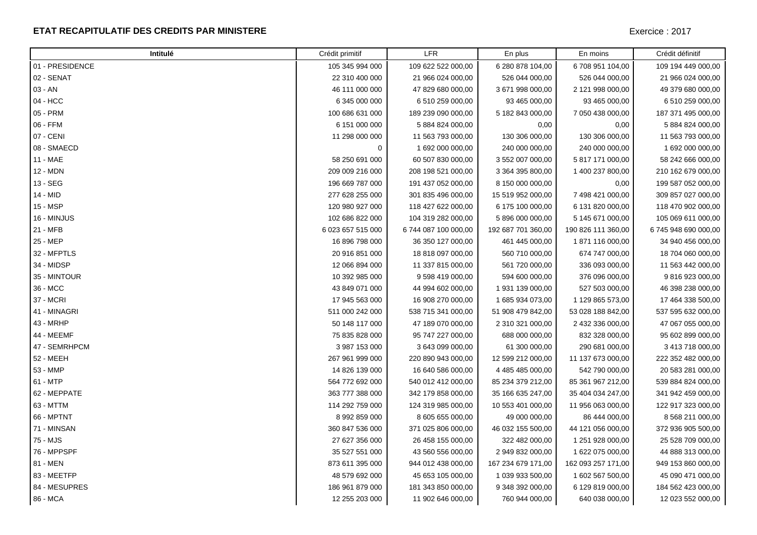### **ETAT RECAPITULATIF DES CREDITS PAR MINISTERE**

| Intitulé        | Crédit primitif   | <b>LFR</b>           | En plus            | En moins           | Crédit définitif     |
|-----------------|-------------------|----------------------|--------------------|--------------------|----------------------|
| 01 - PRESIDENCE | 105 345 994 000   | 109 622 522 000,00   | 6 280 878 104,00   | 6708 951 104,00    | 109 194 449 000,00   |
| 02 - SENAT      | 22 310 400 000    | 21 966 024 000,00    | 526 044 000,00     | 526 044 000,00     | 21 966 024 000,00    |
| 03 - AN         | 46 111 000 000    | 47 829 680 000,00    | 3 671 998 000,00   | 2 121 998 000,00   | 49 379 680 000,00    |
| 04 - HCC        | 6 345 000 000     | 6 510 259 000,00     | 93 465 000,00      | 93 465 000,00      | 6 510 259 000,00     |
| 05 - PRM        | 100 686 631 000   | 189 239 090 000,00   | 5 182 843 000,00   | 7 050 438 000,00   | 187 371 495 000,00   |
| 06 - FFM        | 6 151 000 000     | 5 884 824 000,00     | 0,00               | 0,00               | 5 884 824 000,00     |
| 07 - CENI       | 11 298 000 000    | 11 563 793 000,00    | 130 306 000,00     | 130 306 000,00     | 11 563 793 000,00    |
| 08 - SMAECD     | 0                 | 1 692 000 000,00     | 240 000 000,00     | 240 000 000,00     | 1 692 000 000,00     |
| 11 - MAE        | 58 250 691 000    | 60 507 830 000,00    | 3 552 007 000,00   | 5 817 171 000,00   | 58 242 666 000,00    |
| 12 - MDN        | 209 009 216 000   | 208 198 521 000,00   | 3 364 395 800,00   | 1 400 237 800,00   | 210 162 679 000,00   |
| 13 - SEG        | 196 669 787 000   | 191 437 052 000,00   | 8 150 000 000,00   | 0,00               | 199 587 052 000,00   |
| 14 - MID        | 277 628 255 000   | 301 835 496 000,00   | 15 519 952 000,00  | 7 498 421 000,00   | 309 857 027 000,00   |
| 15 - MSP        | 120 980 927 000   | 118 427 622 000,00   | 6 175 100 000,00   | 6 131 820 000,00   | 118 470 902 000,00   |
| 16 - MINJUS     | 102 686 822 000   | 104 319 282 000,00   | 5 896 000 000,00   | 5 145 671 000,00   | 105 069 611 000,00   |
| 21 - MFB        | 6 023 657 515 000 | 6 744 087 100 000,00 | 192 687 701 360,00 | 190 826 111 360,00 | 6 745 948 690 000,00 |
| 25 - MEP        | 16 896 798 000    | 36 350 127 000,00    | 461 445 000,00     | 1871116000,00      | 34 940 456 000,00    |
| 32 - MFPTLS     | 20 916 851 000    | 18 818 097 000,00    | 560 710 000,00     | 674 747 000,00     | 18 704 060 000,00    |
| 34 - MIDSP      | 12 066 894 000    | 11 337 815 000,00    | 561 720 000,00     | 336 093 000,00     | 11 563 442 000,00    |
| 35 - MINTOUR    | 10 392 985 000    | 9 598 419 000,00     | 594 600 000,00     | 376 096 000,00     | 9 816 923 000,00     |
| 36 - MCC        | 43 849 071 000    | 44 994 602 000,00    | 1 931 139 000,00   | 527 503 000,00     | 46 398 238 000,00    |
| 37 - MCRI       | 17 945 563 000    | 16 908 270 000,00    | 1 685 934 073,00   | 1 129 865 573,00   | 17 464 338 500,00    |
| 41 - MINAGRI    | 511 000 242 000   | 538 715 341 000,00   | 51 908 479 842,00  | 53 028 188 842,00  | 537 595 632 000,00   |
| 43 - MRHP       | 50 148 117 000    | 47 189 070 000,00    | 2 310 321 000,00   | 2 432 336 000,00   | 47 067 055 000,00    |
| 44 - MEEMF      | 75 835 828 000    | 95 747 227 000,00    | 688 000 000,00     | 832 328 000,00     | 95 602 899 000,00    |
| 47 - SEMRHPCM   | 3 987 153 000     | 3 643 099 000,00     | 61 300 000,00      | 290 681 000,00     | 3 413 718 000,00     |
| 52 - MEEH       | 267 961 999 000   | 220 890 943 000,00   | 12 599 212 000,00  | 11 137 673 000,00  | 222 352 482 000,00   |
| 53 - MMP        | 14 826 139 000    | 16 640 586 000,00    | 4 485 485 000,00   | 542 790 000,00     | 20 583 281 000,00    |
| 61 - MTP        | 564 772 692 000   | 540 012 412 000,00   | 85 234 379 212,00  | 85 361 967 212,00  | 539 884 824 000,00   |
| 62 - MEPPATE    | 363 777 388 000   | 342 179 858 000,00   | 35 166 635 247,00  | 35 404 034 247,00  | 341 942 459 000,00   |
| 63 - MTTM       | 114 292 759 000   | 124 319 985 000,00   | 10 553 401 000,00  | 11 956 063 000,00  | 122 917 323 000,00   |
| 66 - MPTNT      | 8 992 859 000     | 8 605 655 000,00     | 49 000 000,00      | 86 444 000,00      | 8 568 211 000,00     |
| 71 - MINSAN     | 360 847 536 000   | 371 025 806 000,00   | 46 032 155 500,00  | 44 121 056 000,00  | 372 936 905 500,00   |
| 75 - MJS        | 27 627 356 000    | 26 458 155 000,00    | 322 482 000,00     | 1 251 928 000,00   | 25 528 709 000,00    |
| 76 - MPPSPF     | 35 527 551 000    | 43 560 556 000,00    | 2 949 832 000,00   | 1 622 075 000,00   | 44 888 313 000,00    |
| 81 - MEN        | 873 611 395 000   | 944 012 438 000,00   | 167 234 679 171,00 | 162 093 257 171,00 | 949 153 860 000,00   |
| 83 - MEETFP     | 48 579 692 000    | 45 653 105 000,00    | 1 039 933 500,00   | 1 602 567 500,00   | 45 090 471 000,00    |
| 84 - MESUPRES   | 186 961 879 000   | 181 343 850 000,00   | 9 348 392 000,00   | 6 129 819 000,00   | 184 562 423 000,00   |
| 86 - MCA        | 12 255 203 000    | 11 902 646 000,00    | 760 944 000,00     | 640 038 000,00     | 12 023 552 000,00    |